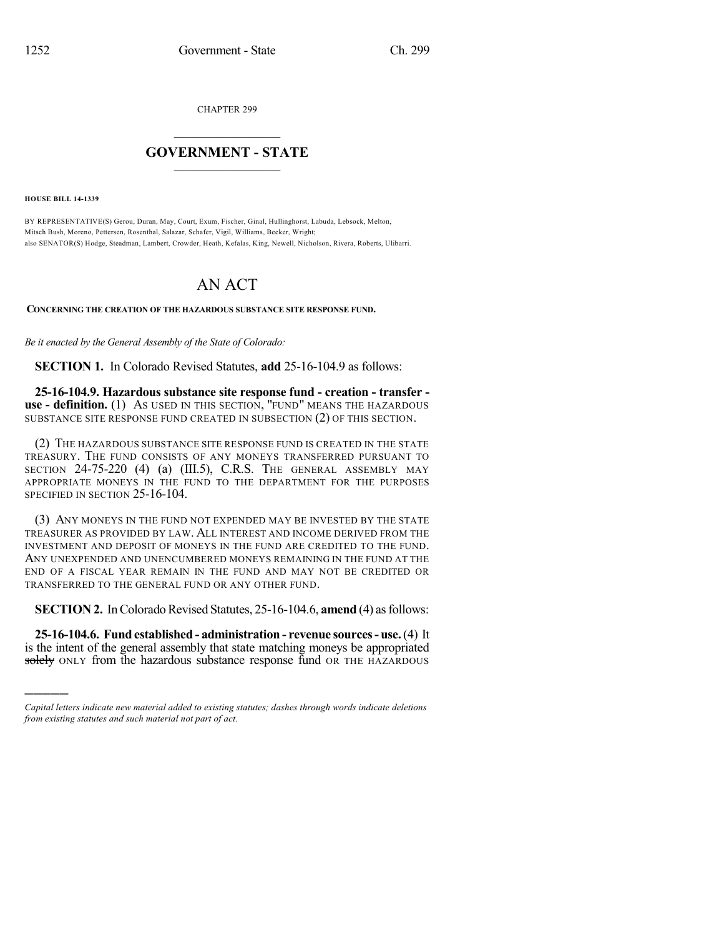CHAPTER 299

## $\overline{\phantom{a}}$  . The set of the set of the set of the set of the set of the set of the set of the set of the set of the set of the set of the set of the set of the set of the set of the set of the set of the set of the set o **GOVERNMENT - STATE**  $\_$

**HOUSE BILL 14-1339**

)))))

BY REPRESENTATIVE(S) Gerou, Duran, May, Court, Exum, Fischer, Ginal, Hullinghorst, Labuda, Lebsock, Melton, Mitsch Bush, Moreno, Pettersen, Rosenthal, Salazar, Schafer, Vigil, Williams, Becker, Wright; also SENATOR(S) Hodge, Steadman, Lambert, Crowder, Heath, Kefalas, King, Newell, Nicholson, Rivera, Roberts, Ulibarri.

## AN ACT

**CONCERNING THE CREATION OF THE HAZARDOUS SUBSTANCE SITE RESPONSE FUND.**

*Be it enacted by the General Assembly of the State of Colorado:*

**SECTION 1.** In Colorado Revised Statutes, **add** 25-16-104.9 as follows:

**25-16-104.9. Hazardous substance site response fund - creation - transfer use - definition.** (1) AS USED IN THIS SECTION, "FUND" MEANS THE HAZARDOUS SUBSTANCE SITE RESPONSE FUND CREATED IN SUBSECTION (2) OF THIS SECTION.

(2) THE HAZARDOUS SUBSTANCE SITE RESPONSE FUND IS CREATED IN THE STATE TREASURY. THE FUND CONSISTS OF ANY MONEYS TRANSFERRED PURSUANT TO SECTION 24-75-220 (4) (a) (III.5), C.R.S. THE GENERAL ASSEMBLY MAY APPROPRIATE MONEYS IN THE FUND TO THE DEPARTMENT FOR THE PURPOSES SPECIFIED IN SECTION 25-16-104.

(3) ANY MONEYS IN THE FUND NOT EXPENDED MAY BE INVESTED BY THE STATE TREASURER AS PROVIDED BY LAW. ALL INTEREST AND INCOME DERIVED FROM THE INVESTMENT AND DEPOSIT OF MONEYS IN THE FUND ARE CREDITED TO THE FUND. ANY UNEXPENDED AND UNENCUMBERED MONEYS REMAINING IN THE FUND AT THE END OF A FISCAL YEAR REMAIN IN THE FUND AND MAY NOT BE CREDITED OR TRANSFERRED TO THE GENERAL FUND OR ANY OTHER FUND.

**SECTION 2.** In Colorado Revised Statutes, 25-16-104.6, **amend** (4) as follows:

**25-16-104.6. Fund established - administration - revenue sources- use.**(4) It is the intent of the general assembly that state matching moneys be appropriated solely ONLY from the hazardous substance response fund OR THE HAZARDOUS

*Capital letters indicate new material added to existing statutes; dashes through words indicate deletions from existing statutes and such material not part of act.*